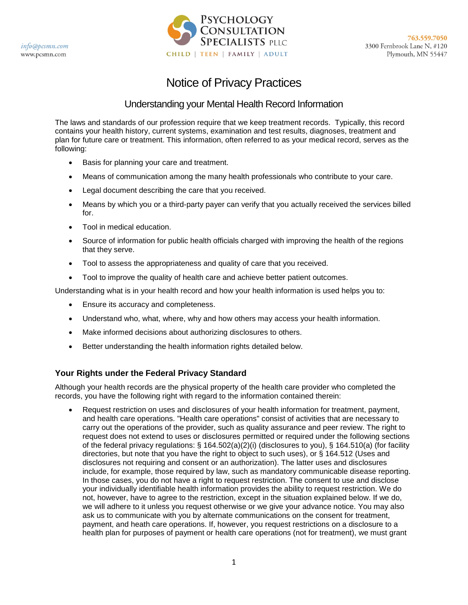

# Notice of Privacy Practices

## Understanding your Mental Health Record Information

The laws and standards of our profession require that we keep treatment records. Typically, this record contains your health history, current systems, examination and test results, diagnoses, treatment and plan for future care or treatment. This information, often referred to as your medical record, serves as the following:

- Basis for planning your care and treatment.
- Means of communication among the many health professionals who contribute to your care.
- Legal document describing the care that you received.
- Means by which you or a third-party payer can verify that you actually received the services billed for.
- Tool in medical education.
- Source of information for public health officials charged with improving the health of the regions that they serve.
- Tool to assess the appropriateness and quality of care that you received.
- Tool to improve the quality of health care and achieve better patient outcomes.

Understanding what is in your health record and how your health information is used helps you to:

- Ensure its accuracy and completeness.
- Understand who, what, where, why and how others may access your health information.
- Make informed decisions about authorizing disclosures to others.
- Better understanding the health information rights detailed below.

### **Your Rights under the Federal Privacy Standard**

Although your health records are the physical property of the health care provider who completed the records, you have the following right with regard to the information contained therein:

• Request restriction on uses and disclosures of your health information for treatment, payment, and health care operations. "Health care operations" consist of activities that are necessary to carry out the operations of the provider, such as quality assurance and peer review. The right to request does not extend to uses or disclosures permitted or required under the following sections of the federal privacy regulations: § 164.502(a)(2)(i) (disclosures to you), § 164.510(a) (for facility directories, but note that you have the right to object to such uses), or § 164.512 (Uses and disclosures not requiring and consent or an authorization). The latter uses and disclosures include, for example, those required by law, such as mandatory communicable disease reporting. In those cases, you do not have a right to request restriction. The consent to use and disclose your individually identifiable health information provides the ability to request restriction. We do not, however, have to agree to the restriction, except in the situation explained below. If we do, we will adhere to it unless you request otherwise or we give your advance notice. You may also ask us to communicate with you by alternate communications on the consent for treatment, payment, and heath care operations. If, however, you request restrictions on a disclosure to a health plan for purposes of payment or health care operations (not for treatment), we must grant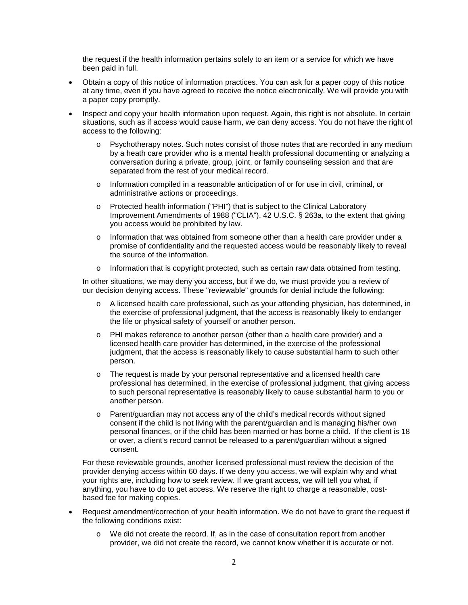the request if the health information pertains solely to an item or a service for which we have been paid in full.

- Obtain a copy of this notice of information practices. You can ask for a paper copy of this notice at any time, even if you have agreed to receive the notice electronically. We will provide you with a paper copy promptly.
- Inspect and copy your health information upon request. Again, this right is not absolute. In certain situations, such as if access would cause harm, we can deny access. You do not have the right of access to the following:
	- o Psychotherapy notes. Such notes consist of those notes that are recorded in any medium by a heath care provider who is a mental health professional documenting or analyzing a conversation during a private, group, joint, or family counseling session and that are separated from the rest of your medical record.
	- o Information compiled in a reasonable anticipation of or for use in civil, criminal, or administrative actions or proceedings.
	- o Protected health information ("PHI") that is subject to the Clinical Laboratory Improvement Amendments of 1988 ("CLIA"), 42 U.S.C. § 263a, to the extent that giving you access would be prohibited by law.
	- $\circ$  Information that was obtained from someone other than a health care provider under a promise of confidentiality and the requested access would be reasonably likely to reveal the source of the information.
	- $\circ$  Information that is copyright protected, such as certain raw data obtained from testing.

In other situations, we may deny you access, but if we do, we must provide you a review of our decision denying access. These "reviewable" grounds for denial include the following:

- o A licensed health care professional, such as your attending physician, has determined, in the exercise of professional judgment, that the access is reasonably likely to endanger the life or physical safety of yourself or another person.
- o PHI makes reference to another person (other than a health care provider) and a licensed health care provider has determined, in the exercise of the professional judgment, that the access is reasonably likely to cause substantial harm to such other person.
- o The request is made by your personal representative and a licensed health care professional has determined, in the exercise of professional judgment, that giving access to such personal representative is reasonably likely to cause substantial harm to you or another person.
- o Parent/guardian may not access any of the child's medical records without signed consent if the child is not living with the parent/guardian and is managing his/her own personal finances, or if the child has been married or has borne a child. If the client is 18 or over, a client's record cannot be released to a parent/guardian without a signed consent.

For these reviewable grounds, another licensed professional must review the decision of the provider denying access within 60 days. If we deny you access, we will explain why and what your rights are, including how to seek review. If we grant access, we will tell you what, if anything, you have to do to get access. We reserve the right to charge a reasonable, costbased fee for making copies.

- Request amendment/correction of your health information. We do not have to grant the request if the following conditions exist:
	- o We did not create the record. If, as in the case of consultation report from another provider, we did not create the record, we cannot know whether it is accurate or not.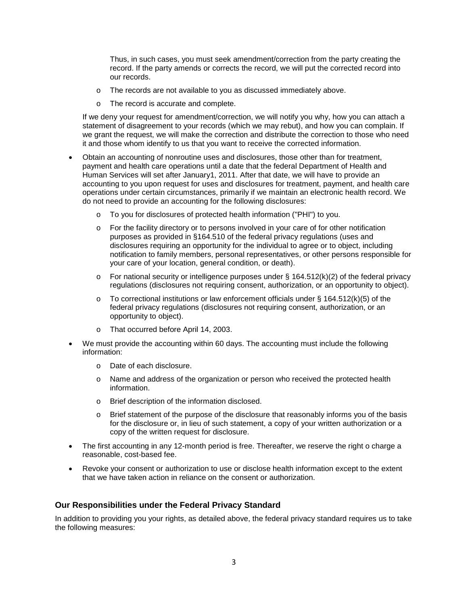Thus, in such cases, you must seek amendment/correction from the party creating the record. If the party amends or corrects the record, we will put the corrected record into our records.

- o The records are not available to you as discussed immediately above.
- o The record is accurate and complete.

If we deny your request for amendment/correction, we will notify you why, how you can attach a statement of disagreement to your records (which we may rebut), and how you can complain. If we grant the request, we will make the correction and distribute the correction to those who need it and those whom identify to us that you want to receive the corrected information.

- Obtain an accounting of nonroutine uses and disclosures, those other than for treatment, payment and health care operations until a date that the federal Department of Health and Human Services will set after January1, 2011. After that date, we will have to provide an accounting to you upon request for uses and disclosures for treatment, payment, and health care operations under certain circumstances, primarily if we maintain an electronic health record. We do not need to provide an accounting for the following disclosures:
	- o To you for disclosures of protected health information ("PHI") to you.
	- $\circ$  For the facility directory or to persons involved in your care of for other notification purposes as provided in §164.510 of the federal privacy regulations (uses and disclosures requiring an opportunity for the individual to agree or to object, including notification to family members, personal representatives, or other persons responsible for your care of your location, general condition, or death).
	- $\circ$  For national security or intelligence purposes under § 164.512(k)(2) of the federal privacy regulations (disclosures not requiring consent, authorization, or an opportunity to object).
	- $\circ$  To correctional institutions or law enforcement officials under § 164.512(k)(5) of the federal privacy regulations (disclosures not requiring consent, authorization, or an opportunity to object).
	- o That occurred before April 14, 2003.
- We must provide the accounting within 60 days. The accounting must include the following information:
	- o Date of each disclosure.
	- o Name and address of the organization or person who received the protected health information.
	- o Brief description of the information disclosed.
	- o Brief statement of the purpose of the disclosure that reasonably informs you of the basis for the disclosure or, in lieu of such statement, a copy of your written authorization or a copy of the written request for disclosure.
- The first accounting in any 12-month period is free. Thereafter, we reserve the right o charge a reasonable, cost-based fee.
- Revoke your consent or authorization to use or disclose health information except to the extent that we have taken action in reliance on the consent or authorization.

#### **Our Responsibilities under the Federal Privacy Standard**

In addition to providing you your rights, as detailed above, the federal privacy standard requires us to take the following measures: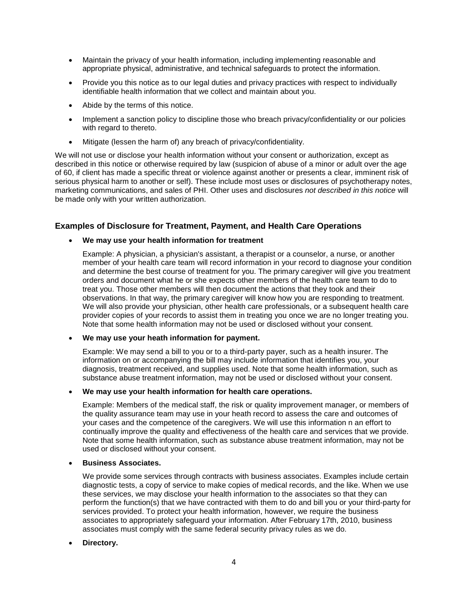- Maintain the privacy of your health information, including implementing reasonable and appropriate physical, administrative, and technical safeguards to protect the information.
- Provide you this notice as to our legal duties and privacy practices with respect to individually identifiable health information that we collect and maintain about you.
- Abide by the terms of this notice.
- Implement a sanction policy to discipline those who breach privacy/confidentiality or our policies with regard to thereto.
- Mitigate (lessen the harm of) any breach of privacy/confidentiality.

We will not use or disclose your health information without your consent or authorization, except as described in this notice or otherwise required by law (suspicion of abuse of a minor or adult over the age of 60, if client has made a specific threat or violence against another or presents a clear, imminent risk of serious physical harm to another or self). These include most uses or disclosures of psychotherapy notes, marketing communications, and sales of PHI. Other uses and disclosures *not described in this notice* will be made only with your written authorization.

#### **Examples of Disclosure for Treatment, Payment, and Health Care Operations**

• **We may use your health information for treatment**

Example: A physician, a physician's assistant, a therapist or a counselor, a nurse, or another member of your health care team will record information in your record to diagnose your condition and determine the best course of treatment for you. The primary caregiver will give you treatment orders and document what he or she expects other members of the health care team to do to treat you. Those other members will then document the actions that they took and their observations. In that way, the primary caregiver will know how you are responding to treatment. We will also provide your physician, other health care professionals, or a subsequent health care provider copies of your records to assist them in treating you once we are no longer treating you. Note that some health information may not be used or disclosed without your consent.

• **We may use your heath information for payment.**

Example: We may send a bill to you or to a third-party payer, such as a health insurer. The information on or accompanying the bill may include information that identifies you, your diagnosis, treatment received, and supplies used. Note that some health information, such as substance abuse treatment information, may not be used or disclosed without your consent.

• **We may use your health information for health care operations.**

Example: Members of the medical staff, the risk or quality improvement manager, or members of the quality assurance team may use in your heath record to assess the care and outcomes of your cases and the competence of the caregivers. We will use this information n an effort to continually improve the quality and effectiveness of the health care and services that we provide. Note that some health information, such as substance abuse treatment information, may not be used or disclosed without your consent.

• **Business Associates.**

We provide some services through contracts with business associates. Examples include certain diagnostic tests, a copy of service to make copies of medical records, and the like. When we use these services, we may disclose your health information to the associates so that they can perform the function(s) that we have contracted with them to do and bill you or your third-party for services provided. To protect your health information, however, we require the business associates to appropriately safeguard your information. After February 17th, 2010, business associates must comply with the same federal security privacy rules as we do.

#### • **Directory.**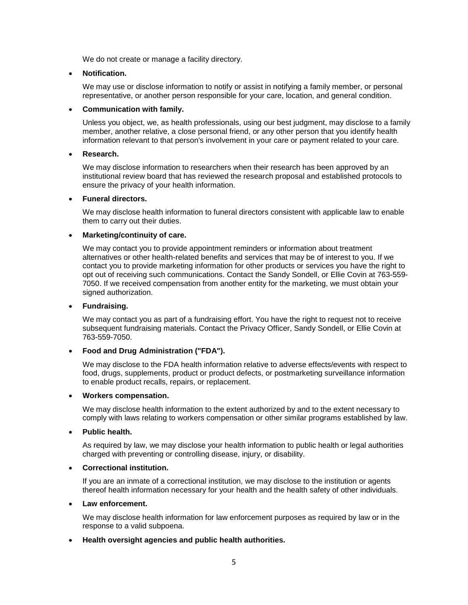We do not create or manage a facility directory.

#### • **Notification.**

We may use or disclose information to notify or assist in notifying a family member, or personal representative, or another person responsible for your care, location, and general condition.

#### • **Communication with family.**

Unless you object, we, as health professionals, using our best judgment, may disclose to a family member, another relative, a close personal friend, or any other person that you identify health information relevant to that person's involvement in your care or payment related to your care.

#### • **Research.**

We may disclose information to researchers when their research has been approved by an institutional review board that has reviewed the research proposal and established protocols to ensure the privacy of your health information.

#### • **Funeral directors.**

We may disclose health information to funeral directors consistent with applicable law to enable them to carry out their duties.

#### • **Marketing/continuity of care.**

We may contact you to provide appointment reminders or information about treatment alternatives or other health-related benefits and services that may be of interest to you. If we contact you to provide marketing information for other products or services you have the right to opt out of receiving such communications. Contact the Sandy Sondell, or Ellie Covin at 763-559- 7050. If we received compensation from another entity for the marketing, we must obtain your signed authorization.

#### • **Fundraising.**

We may contact you as part of a fundraising effort. You have the right to request not to receive subsequent fundraising materials. Contact the Privacy Officer, Sandy Sondell, or Ellie Covin at 763-559-7050.

#### • **Food and Drug Administration ("FDA").**

We may disclose to the FDA health information relative to adverse effects/events with respect to food, drugs, supplements, product or product defects, or postmarketing surveillance information to enable product recalls, repairs, or replacement.

#### • **Workers compensation.**

We may disclose health information to the extent authorized by and to the extent necessary to comply with laws relating to workers compensation or other similar programs established by law.

#### • **Public health.**

As required by law, we may disclose your health information to public health or legal authorities charged with preventing or controlling disease, injury, or disability.

#### • **Correctional institution.**

If you are an inmate of a correctional institution, we may disclose to the institution or agents thereof health information necessary for your health and the health safety of other individuals.

#### • **Law enforcement.**

We may disclose health information for law enforcement purposes as required by law or in the response to a valid subpoena.

#### • **Health oversight agencies and public health authorities.**